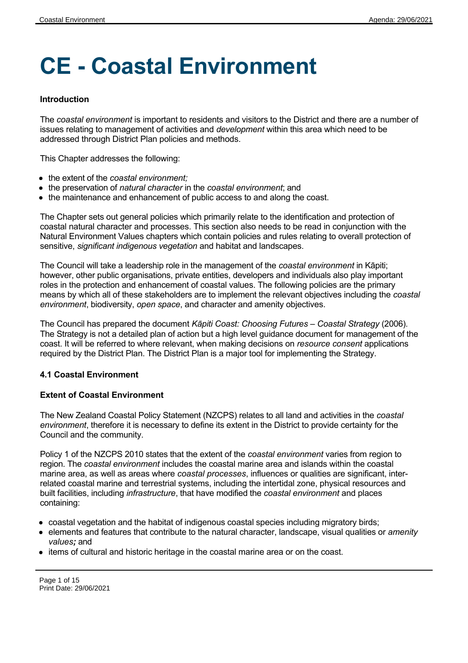# **CE - Coastal Environment**

# **Introduction**

The *coastal environment* is important to residents and visitors to the District and there are a number of issues relating to management of activities and *development* within this area which need to be addressed through District Plan policies and methods.

This Chapter addresses the following:

- the extent of the *coastal environment;*
- the preservation of *natural character* in the *coastal environment*; and
- the maintenance and enhancement of public access to and along the coast.

The Chapter sets out general policies which primarily relate to the identification and protection of coastal natural character and processes. This section also needs to be read in conjunction with the Natural Environment Values chapters which contain policies and rules relating to overall protection of sensitive, *significant indigenous vegetation* and habitat and landscapes.

The Council will take a leadership role in the management of the *coastal environment* in Kāpiti; however, other public organisations, private entities, developers and individuals also play important roles in the protection and enhancement of coastal values. The following policies are the primary means by which all of these stakeholders are to implement the relevant objectives including the *coastal environment*, biodiversity, *open space*, and character and amenity objectives.

The Council has prepared the document *Kāpiti Coast: Choosing Futures – Coastal Strategy* (2006). The Strategy is not a detailed plan of action but a high level guidance document for management of the coast. It will be referred to where relevant, when making decisions on *resource consent* applications required by the District Plan. The District Plan is a major tool for implementing the Strategy.

# **4.1 Coastal Environment**

# **Extent of Coastal Environment**

The New Zealand Coastal Policy Statement (NZCPS) relates to all land and activities in the *coastal environment*, therefore it is necessary to define its extent in the District to provide certainty for the Council and the community.

Policy 1 of the NZCPS 2010 states that the extent of the *coastal environment* varies from region to region. The *coastal environment* includes the coastal marine area and islands within the coastal marine area, as well as areas where *coastal processes*, influences or qualities are significant, interrelated coastal marine and terrestrial systems, including the intertidal zone, physical resources and built facilities, including *infrastructure*, that have modified the *coastal environment* and places containing:

- coastal vegetation and the habitat of indigenous coastal species including migratory birds;
- **•** elements and features that contribute to the natural character, landscape, visual qualities or *amenity values;* and
- $\bullet$  items of cultural and historic heritage in the coastal marine area or on the coast.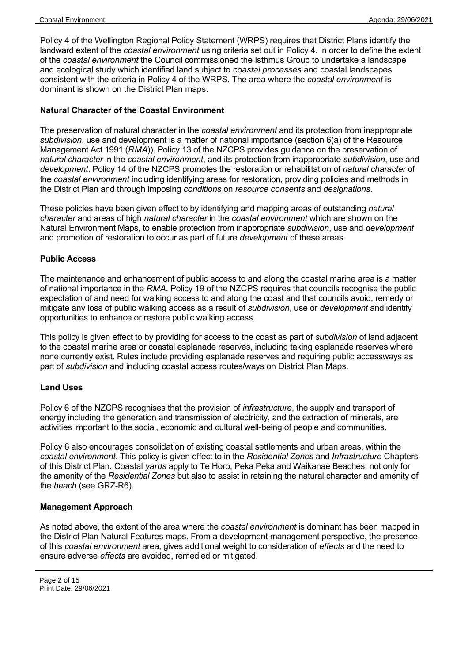Policy 4 of the Wellington Regional Policy Statement (WRPS) requires that District Plans identify the landward extent of the *coastal environment* using criteria set out in Policy 4. In order to define the extent of the *coastal environment* the Council commissioned the Isthmus Group to undertake a landscape and ecological study which identified land subject to *coastal processes* and coastal landscapes consistent with the criteria in Policy 4 of the WRPS. The area where the *coastal environment* is dominant is shown on the District Plan maps.

#### **Natural Character of the Coastal Environment**

The preservation of natural character in the *coastal environment* and its protection from inappropriate *subdivision*, use and development is a matter of national importance (section 6(a) of the Resource Management Act 1991 (*RMA*)). Policy 13 of the NZCPS provides guidance on the preservation of *natural character* in the *coastal environment*, and its protection from inappropriate *subdivision*, use and *development*. Policy 14 of the NZCPS promotes the restoration or rehabilitation of *natural character* of the *coastal environment* including identifying areas for restoration, providing policies and methods in the District Plan and through imposing *conditions* on *resource consents* and *designations*.

These policies have been given effect to by identifying and mapping areas of outstanding *natural character* and areas of high *natural character* in the *coastal environment* which are shown on the Natural Environment Maps, to enable protection from inappropriate *subdivision*, use and *development* and promotion of restoration to occur as part of future *development* of these areas.

#### **Public Access**

The maintenance and enhancement of public access to and along the coastal marine area is a matter of national importance in the *RMA*. Policy 19 of the NZCPS requires that councils recognise the public expectation of and need for walking access to and along the coast and that councils avoid, remedy or mitigate any loss of public walking access as a result of *subdivision*, use or *development* and identify opportunities to enhance or restore public walking access.

This policy is given effect to by providing for access to the coast as part of *subdivision* of land adjacent to the coastal marine area or coastal esplanade reserves, including taking esplanade reserves where none currently exist. Rules include providing esplanade reserves and requiring public accessways as part of *subdivision* and including coastal access routes/ways on District Plan Maps.

#### **Land Uses**

Policy 6 of the NZCPS recognises that the provision of *infrastructure*, the supply and transport of energy including the generation and transmission of electricity, and the extraction of minerals, are activities important to the social, economic and cultural well-being of people and communities.

Policy 6 also encourages consolidation of existing coastal settlements and urban areas, within the *coastal environment*. This policy is given effect to in the *Residential Zones* and *Infrastructure* Chapters of this District Plan. Coastal *yards* apply to Te Horo, Peka Peka and Waikanae Beaches, not only for the amenity of the *Residential Zones* but also to assist in retaining the natural character and amenity of the *beach* (see GRZ-R6).

#### **Management Approach**

As noted above, the extent of the area where the *coastal environment* is dominant has been mapped in the District Plan Natural Features maps. From a development management perspective, the presence of this *coastal environment* area, gives additional weight to consideration of *effects* and the need to ensure adverse *effects* are avoided, remedied or mitigated.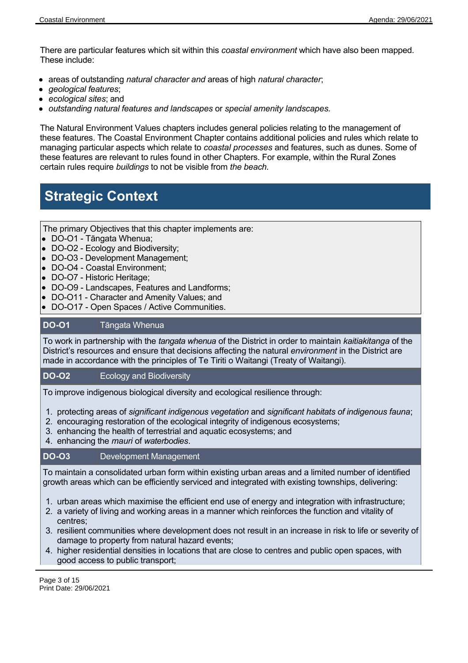There are particular features which sit within this *coastal environment* which have also been mapped. These include:

- areas of outstanding *natural character and* areas of high *natural character*;
- *geological features*;
- *ecological sites*; and
- *outstanding natural features and landscapes* or *special amenity landscapes.*

The Natural Environment Values chapters includes general policies relating to the management of these features. The Coastal Environment Chapter contains additional policies and rules which relate to managing particular aspects which relate to *coastal processes* and features, such as dunes. Some of these features are relevant to rules found in other Chapters. For example, within the Rural Zones certain rules require *buildings* to not be visible from *the beach.* 

# **Strategic Context**

The primary Objectives that this chapter implements are:

- DO-O1 Tāngata Whenua;
- DO-O2 Ecology and Biodiversity;
- DO-O3 Development Management;
- DO-O4 Coastal Environment;
- DO-O7 Historic Heritage:
- DO-O9 Landscapes, Features and Landforms;
- DO-O11 Character and Amenity Values; and
- DO-O17 Open Spaces / Active Communities.

#### **DO-O1** Tāngata Whenua

To work in partnership with the *tangata whenua* of the District in order to maintain *kaitiakitanga* of the District's resources and ensure that decisions affecting the natural *environment* in the District are made in accordance with the principles of Te Tiriti o Waitangi (Treaty of Waitangi).

#### **DO-O2** Ecology and Biodiversity

To improve indigenous biological diversity and ecological resilience through:

- 1. protecting areas of *significant indigenous vegetation* and *significant habitats of indigenous fauna*;
- 2. encouraging restoration of the ecological integrity of indigenous ecosystems;
- 3. enhancing the health of terrestrial and aquatic ecosystems; and
- 4. enhancing the *mauri* of *waterbodies*.

#### **DO-O3** Development Management

To maintain a consolidated urban form within existing urban areas and a limited number of identified growth areas which can be efficiently serviced and integrated with existing townships, delivering:

- 1. urban areas which maximise the efficient end use of energy and integration with infrastructure;
- 2. a variety of living and working areas in a manner which reinforces the function and vitality of centres;
- 3. resilient communities where development does not result in an increase in risk to life or severity of damage to property from natural hazard events;
- 4. higher residential densities in locations that are close to centres and public open spaces, with good access to public transport;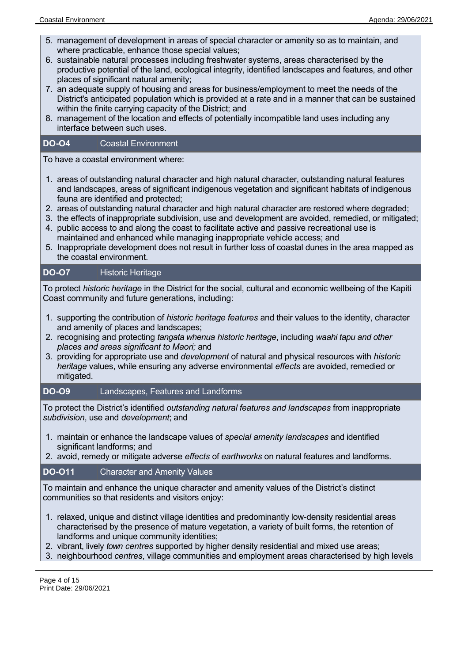- 5. management of development in areas of special character or amenity so as to maintain, and where practicable, enhance those special values;
- 6. sustainable natural processes including freshwater systems, areas characterised by the productive potential of the land, ecological integrity, identified landscapes and features, and other places of significant natural amenity;
- 7. an adequate supply of housing and areas for business/employment to meet the needs of the District's anticipated population which is provided at a rate and in a manner that can be sustained within the finite carrying capacity of the District; and
- 8. management of the location and effects of potentially incompatible land uses including any interface between such uses.

#### **DO-O4** Coastal Environment

To have a coastal environment where:

- 1. areas of outstanding natural character and high natural character, outstanding natural features and landscapes, areas of significant indigenous vegetation and significant habitats of indigenous fauna are identified and protected;
- 2. areas of outstanding natural character and high natural character are restored where degraded;
- 3. the effects of inappropriate subdivision, use and development are avoided, remedied, or mitigated;
- 4. public access to and along the coast to facilitate active and passive recreational use is maintained and enhanced while managing inappropriate vehicle access; and
- 5. Inappropriate development does not result in further loss of coastal dunes in the area mapped as the coastal environment.

#### **DO-O7** Historic Heritage

To protect *historic heritage* in the District for the social, cultural and economic wellbeing of the Kapiti Coast community and future generations, including:

- 1. supporting the contribution of *historic heritage features* and their values to the identity, character and amenity of places and landscapes;
- 2. recognising and protecting *tangata whenua historic heritage*, including *waahi tapu and other places and areas significant to Maori;* and
- 3. providing for appropriate use and *development* of natural and physical resources with *historic heritage* values, while ensuring any adverse environmental *effects* are avoided, remedied or mitigated.

#### **DO-O9** Landscapes, Features and Landforms

To protect the District's identified *outstanding natural features and landscapes* from inappropriate *subdivision*, use and *development*; and

- 1. maintain or enhance the landscape values of *special amenity landscapes* and identified significant landforms; and
- 2. avoid, remedy or mitigate adverse *effects* of *earthworks* on natural features and landforms.

# **DO-O11** Character and Amenity Values

To maintain and enhance the unique character and amenity values of the District's distinct communities so that residents and visitors enjoy:

- 1. relaxed, unique and distinct village identities and predominantly low-density residential areas characterised by the presence of mature vegetation, a variety of built forms, the retention of landforms and unique community identities;
- 2. vibrant, lively *town centres* supported by higher density residential and mixed use areas;
- 3. neighbourhood *centres*, village communities and employment areas characterised by high levels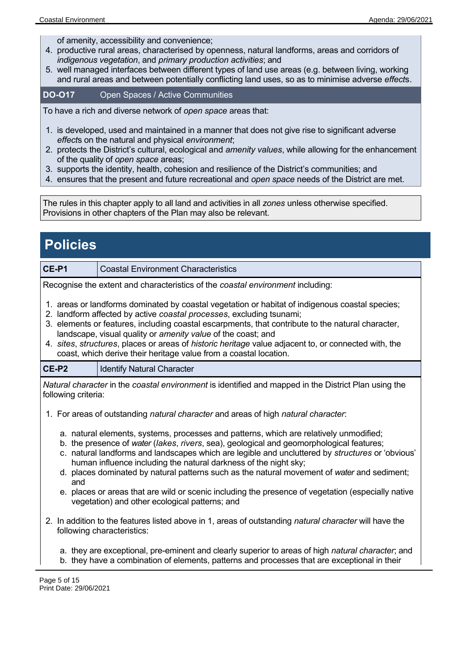of amenity, accessibility and convenience;

- 4. productive rural areas, characterised by openness, natural landforms, areas and corridors of *indigenous vegetation*, and *primary production activities*; and
- 5. well managed interfaces between different types of land use areas (e.g. between living, working and rural areas and between potentially conflicting land uses, so as to minimise adverse *effect*s.

**DO-O17** Open Spaces / Active Communities

To have a rich and diverse network of *open space* areas that:

- 1. is developed, used and maintained in a manner that does not give rise to significant adverse *effect*s on the natural and physical *environment*;
- 2. protects the District's cultural, ecological and *amenity values*, while allowing for the enhancement of the quality of *open space* areas;
- 3. supports the identity, health, cohesion and resilience of the District's communities; and
- 4. ensures that the present and future recreational and *open space* needs of the District are met.

The rules in this chapter apply to all land and activities in all *zones* unless otherwise specified. Provisions in other chapters of the Plan may also be relevant.

| <b>Policies</b>                                                                                                                                                                                                                                                                                                                                                                                                                                                                                                           |                                                                                                                                                                                                           |  |
|---------------------------------------------------------------------------------------------------------------------------------------------------------------------------------------------------------------------------------------------------------------------------------------------------------------------------------------------------------------------------------------------------------------------------------------------------------------------------------------------------------------------------|-----------------------------------------------------------------------------------------------------------------------------------------------------------------------------------------------------------|--|
| CE-P1                                                                                                                                                                                                                                                                                                                                                                                                                                                                                                                     | <b>Coastal Environment Characteristics</b>                                                                                                                                                                |  |
| Recognise the extent and characteristics of the coastal environment including:                                                                                                                                                                                                                                                                                                                                                                                                                                            |                                                                                                                                                                                                           |  |
| 1. areas or landforms dominated by coastal vegetation or habitat of indigenous coastal species;<br>2. landform affected by active coastal processes, excluding tsunami;<br>3. elements or features, including coastal escarpments, that contribute to the natural character,<br>landscape, visual quality or amenity value of the coast; and<br>4. sites, structures, places or areas of historic heritage value adjacent to, or connected with, the<br>coast, which derive their heritage value from a coastal location. |                                                                                                                                                                                                           |  |
| CE-P2                                                                                                                                                                                                                                                                                                                                                                                                                                                                                                                     | <b>Identify Natural Character</b>                                                                                                                                                                         |  |
| Natural character in the coastal environment is identified and mapped in the District Plan using the<br>following criteria:                                                                                                                                                                                                                                                                                                                                                                                               |                                                                                                                                                                                                           |  |
| 1. For areas of outstanding natural character and areas of high natural character:                                                                                                                                                                                                                                                                                                                                                                                                                                        |                                                                                                                                                                                                           |  |
| a. natural elements, systems, processes and patterns, which are relatively unmodified;<br>b. the presence of water (lakes, rivers, sea), geological and geomorphological features;<br>c. natural landforms and landscapes which are legible and uncluttered by structures or 'obvious'<br>human influence including the natural darkness of the night sky;<br>d. places dominated by natural patterns such as the natural movement of water and sediment;<br>and                                                          |                                                                                                                                                                                                           |  |
|                                                                                                                                                                                                                                                                                                                                                                                                                                                                                                                           | e. places or areas that are wild or scenic including the presence of vegetation (especially native<br>vegetation) and other ecological patterns; and                                                      |  |
| 2. In addition to the features listed above in 1, areas of outstanding <i>natural character</i> will have the<br>following characteristics:                                                                                                                                                                                                                                                                                                                                                                               |                                                                                                                                                                                                           |  |
|                                                                                                                                                                                                                                                                                                                                                                                                                                                                                                                           | a. they are exceptional, pre-eminent and clearly superior to areas of high <i>natural character</i> ; and<br>b. they have a combination of elements, patterns and processes that are exceptional in their |  |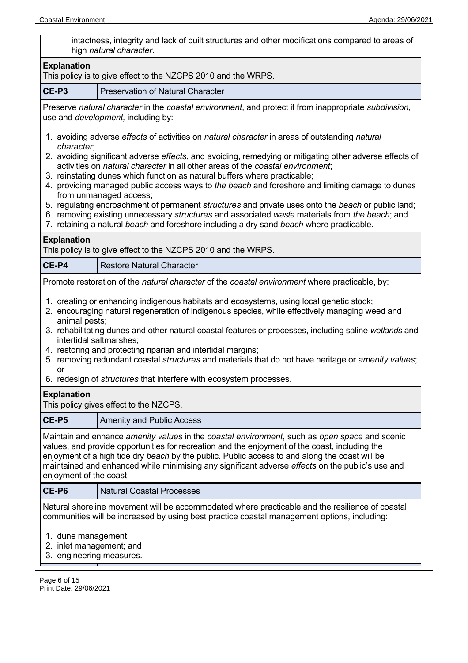intactness, integrity and lack of built structures and other modifications compared to areas of high *natural character*.

| <b>Explanation</b><br>This policy is to give effect to the NZCPS 2010 and the WRPS.                                                                                                                                                                                                                                                                                                                                                                                                                                                                                                                                                                                                                                                                                                                                     |  |  |  |
|-------------------------------------------------------------------------------------------------------------------------------------------------------------------------------------------------------------------------------------------------------------------------------------------------------------------------------------------------------------------------------------------------------------------------------------------------------------------------------------------------------------------------------------------------------------------------------------------------------------------------------------------------------------------------------------------------------------------------------------------------------------------------------------------------------------------------|--|--|--|
| CE-P3<br><b>Preservation of Natural Character</b>                                                                                                                                                                                                                                                                                                                                                                                                                                                                                                                                                                                                                                                                                                                                                                       |  |  |  |
| Preserve natural character in the coastal environment, and protect it from inappropriate subdivision,<br>use and <i>development</i> , including by:                                                                                                                                                                                                                                                                                                                                                                                                                                                                                                                                                                                                                                                                     |  |  |  |
| 1. avoiding adverse effects of activities on natural character in areas of outstanding natural<br>character;<br>2. avoiding significant adverse effects, and avoiding, remedying or mitigating other adverse effects of<br>activities on natural character in all other areas of the coastal environment;<br>3. reinstating dunes which function as natural buffers where practicable;<br>4. providing managed public access ways to the beach and foreshore and limiting damage to dunes<br>from unmanaged access;<br>5. regulating encroachment of permanent structures and private uses onto the beach or public land;<br>6. removing existing unnecessary structures and associated waste materials from the beach; and<br>7. retaining a natural beach and foreshore including a dry sand beach where practicable. |  |  |  |
| <b>Explanation</b><br>This policy is to give effect to the NZCPS 2010 and the WRPS.                                                                                                                                                                                                                                                                                                                                                                                                                                                                                                                                                                                                                                                                                                                                     |  |  |  |
| CE-P4<br><b>Restore Natural Character</b>                                                                                                                                                                                                                                                                                                                                                                                                                                                                                                                                                                                                                                                                                                                                                                               |  |  |  |
| Promote restoration of the natural character of the coastal environment where practicable, by:                                                                                                                                                                                                                                                                                                                                                                                                                                                                                                                                                                                                                                                                                                                          |  |  |  |
| 1. creating or enhancing indigenous habitats and ecosystems, using local genetic stock;<br>2. encouraging natural regeneration of indigenous species, while effectively managing weed and<br>animal pests;<br>3. rehabilitating dunes and other natural coastal features or processes, including saline wetlands and<br>intertidal saltmarshes;<br>4. restoring and protecting riparian and intertidal margins;<br>5. removing redundant coastal structures and materials that do not have heritage or amenity values;<br>or<br>6. redesign of structures that interfere with ecosystem processes.                                                                                                                                                                                                                      |  |  |  |
| <b>Explanation</b><br>This policy gives effect to the NZCPS.                                                                                                                                                                                                                                                                                                                                                                                                                                                                                                                                                                                                                                                                                                                                                            |  |  |  |
| CE-P5<br><b>Amenity and Public Access</b>                                                                                                                                                                                                                                                                                                                                                                                                                                                                                                                                                                                                                                                                                                                                                                               |  |  |  |
| Maintain and enhance <i>amenity values</i> in the coastal environment, such as open space and scenic<br>values, and provide opportunities for recreation and the enjoyment of the coast, including the<br>enjoyment of a high tide dry beach by the public. Public access to and along the coast will be<br>maintained and enhanced while minimising any significant adverse effects on the public's use and<br>enjoyment of the coast.                                                                                                                                                                                                                                                                                                                                                                                 |  |  |  |
| CE-P6<br><b>Natural Coastal Processes</b>                                                                                                                                                                                                                                                                                                                                                                                                                                                                                                                                                                                                                                                                                                                                                                               |  |  |  |
| Natural shoreline movement will be accommodated where practicable and the resilience of coastal<br>communities will be increased by using best practice coastal management options, including:<br>1. dune management;<br>2. inlet management; and<br>3. engineering measures.                                                                                                                                                                                                                                                                                                                                                                                                                                                                                                                                           |  |  |  |

Page 6 of 15 Print Date: 29/06/2021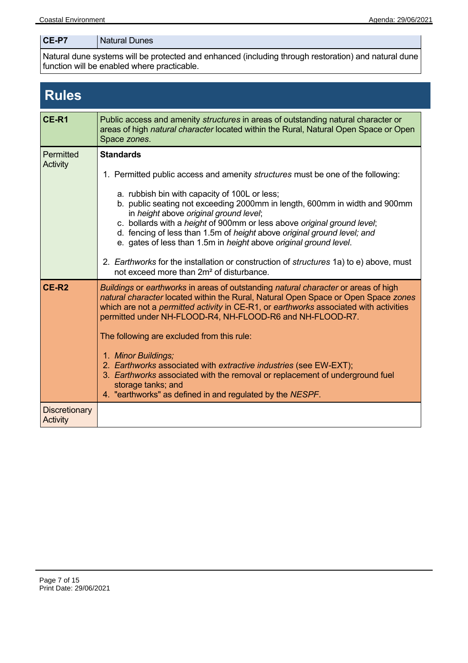| CE-P7<br>Natural Dunes |  |
|------------------------|--|
|------------------------|--|

Natural dune systems will be protected and enhanced (including through restoration) and natural dune function will be enabled where practicable.

# **Rules CE-R1** Public access and amenity *structures* in areas of outstanding natural character or areas of high *natural character* located within the Rural, Natural Open Space or Open Space *zones*. **Permitted Activity Standards** 1. Permitted public access and amenity *structures* must be one of the following: a. rubbish bin with capacity of 100L or less; b. public seating not exceeding 2000mm in length, 600mm in width and 900mm in *height* above *original ground level*; c. bollards with a *height* of 900mm or less above *original ground level*; d. fencing of less than 1.5m of *height* above *original ground level; and* e. gates of less than 1.5m in *height* above *original ground level*. 2. *Earthworks* for the installation or construction of *structures* 1a) to e) above, must not exceed more than 2m² of disturbance. **CE-R2** *Buildings* or *earthworks* in areas of outstanding *natural character* or areas of high *natural character* located within the Rural, Natural Open Space or Open Space *zones* which are not a *permitted activity* in CE-R1, or *earthworks* associated with activities permitted under NH-FLOOD-R4, NH-FLOOD-R6 and NH-FLOOD-R7. The following are excluded from this rule: 1. *Minor Buildings;* 2. *Earthworks* associated with *extractive industries* (see EW-EXT); 3. *Earthworks* associated with the removal or replacement of underground fuel storage tanks; and 4. "earthworks" as defined in and regulated by the *NESPF*. **Discretionary Activity**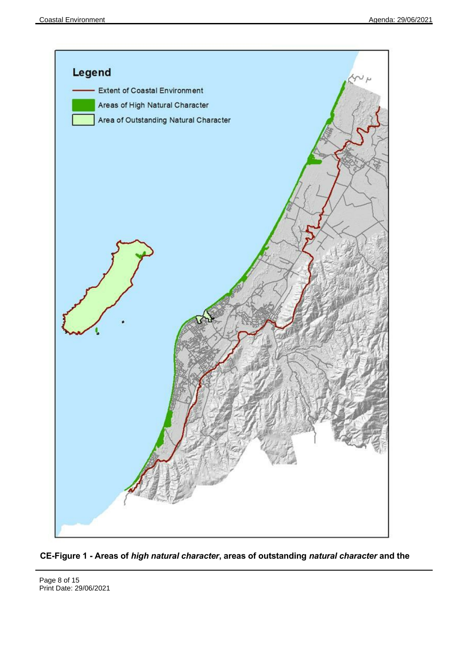

**CE-Figure 1 - Areas of** *high natural character***, areas of outstanding** *natural character* **and the**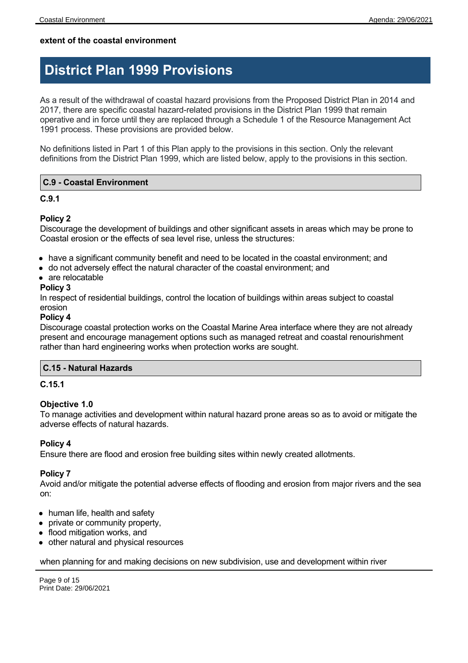# **extent of the coastal environment**

# **District Plan 1999 Provisions**

As a result of the withdrawal of coastal hazard provisions from the Proposed District Plan in 2014 and 2017, there are specific coastal hazard-related provisions in the District Plan 1999 that remain operative and in force until they are replaced through a Schedule 1 of the Resource Management Act 1991 process. These provisions are provided below.

No definitions listed in Part 1 of this Plan apply to the provisions in this section. Only the relevant definitions from the District Plan 1999, which are listed below, apply to the provisions in this section.

# **C.9 - Coastal Environment**

#### **C.9.1**

#### **Policy 2**

Discourage the development of buildings and other significant assets in areas which may be prone to Coastal erosion or the effects of sea level rise, unless the structures:

- have a significant community benefit and need to be located in the coastal environment; and
- do not adversely effect the natural character of the coastal environment; and
- are relocatable

#### **Policy 3**

In respect of residential buildings, control the location of buildings within areas subject to coastal erosion

#### **Policy 4**

Discourage coastal protection works on the Coastal Marine Area interface where they are not already present and encourage management options such as managed retreat and coastal renourishment rather than hard engineering works when protection works are sought.

# **C.15 - Natural Hazards**

#### **C.15.1**

#### **Objective 1.0**

To manage activities and development within natural hazard prone areas so as to avoid or mitigate the adverse effects of natural hazards.

# **Policy 4**

Ensure there are flood and erosion free building sites within newly created allotments.

#### **Policy 7**

Avoid and/or mitigate the potential adverse effects of flooding and erosion from major rivers and the sea on:

- human life, health and safety
- private or community property,
- flood mitigation works, and
- other natural and physical resources

#### when planning for and making decisions on new subdivision, use and development within river

Page 9 of 15 Print Date: 29/06/2021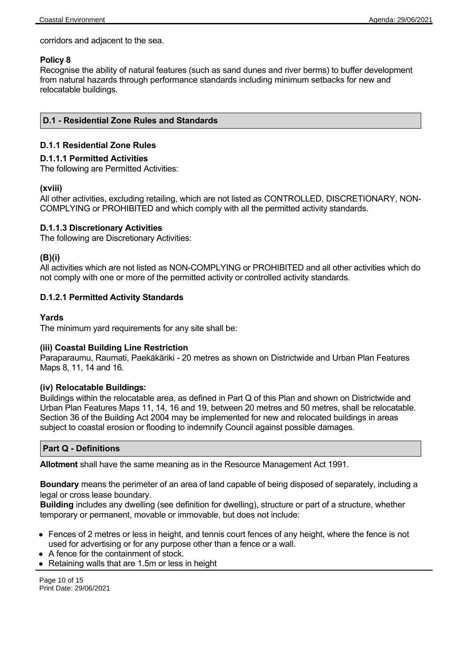corridors and adjacent to the sea.

#### **Policy 8**

Recognise the ability of natural features (such as sand dunes and river berms) to buffer development from natural hazards through performance standards including minimum setbacks for new and relocatable buildings.

#### **D.1 - Residential Zone Rules and Standards**

#### **D.1.1 Residential Zone Rules**

#### **D.1.1.1 Permitted Activities**

The following are Permitted Activities:

#### **(xviii)**

All other activities, excluding retailing, which are not listed as CONTROLLED, DISCRETIONARY, NON-COMPLYING or PROHIBITED and which comply with all the permitted activity standards.

#### **D.1.1.3 Discretionary Activities**

The following are Discretionary Activities:

#### **(B)(i)**

All activities which are not listed as NON-COMPLYING or PROHIBITED and all other activities which do not comply with one or more of the permitted activity or controlled activity standards.

#### **D.1.2.1 Permitted Activity Standards**

#### **Yards**

The minimum yard requirements for any site shall be:

#### **(iii) Coastal Building Line Restriction**

Paraparaumu, Raumati, Paekākāriki - 20 metres as shown on Districtwide and Urban Plan Features Maps 8, 11, 14 and 16.

#### **(iv) Relocatable Buildings:**

Buildings within the relocatable area, as defined in Part Q of this Plan and shown on Districtwide and Urban Plan Features Maps 11, 14, 16 and 19, between 20 metres and 50 metres, shall be relocatable. Section 36 of the Building Act 2004 may be implemented for new and relocated buildings in areas subject to coastal erosion or flooding to indemnify Council against possible damages.

#### **Part Q - Definitions**

**Allotment** shall have the same meaning as in the Resource Management Act 1991.

**Boundary** means the perimeter of an area of land capable of being disposed of separately, including a legal or cross lease boundary.

**Building** includes any dwelling (see definition for dwelling), structure or part of a structure, whether temporary or permanent, movable or immovable, but does not include:

- Fences of 2 metres or less in height, and tennis court fences of any height, where the fence is not used for advertising or for any purpose other than a fence or a wall.
- A fence for the containment of stock.
- Retaining walls that are 1.5m or less in height

Page 10 of 15 Print Date: 29/06/2021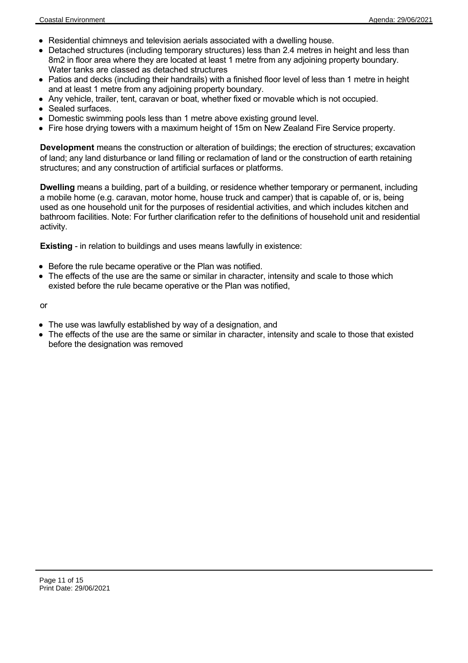- Residential chimneys and television aerials associated with a dwelling house.
- Detached structures (including temporary structures) less than 2.4 metres in height and less than 8m2 in floor area where they are located at least 1 metre from any adjoining property boundary. Water tanks are classed as detached structures
- Patios and decks (including their handrails) with a finished floor level of less than 1 metre in height and at least 1 metre from any adjoining property boundary.
- Any vehicle, trailer, tent, caravan or boat, whether fixed or movable which is not occupied.
- Sealed surfaces.
- Domestic swimming pools less than 1 metre above existing ground level.
- Fire hose drying towers with a maximum height of 15m on New Zealand Fire Service property.

**Development** means the construction or alteration of buildings; the erection of structures; excavation of land; any land disturbance or land filling or reclamation of land or the construction of earth retaining structures; and any construction of artificial surfaces or platforms.

**Dwelling** means a building, part of a building, or residence whether temporary or permanent, including a mobile home (e.g. caravan, motor home, house truck and camper) that is capable of, or is, being used as one household unit for the purposes of residential activities, and which includes kitchen and bathroom facilities. Note: For further clarification refer to the definitions of household unit and residential activity.

**Existing** - in relation to buildings and uses means lawfully in existence:

- Before the rule became operative or the Plan was notified.
- The effects of the use are the same or similar in character, intensity and scale to those which existed before the rule became operative or the Plan was notified,

or

- The use was lawfully established by way of a designation, and
- The effects of the use are the same or similar in character, intensity and scale to those that existed before the designation was removed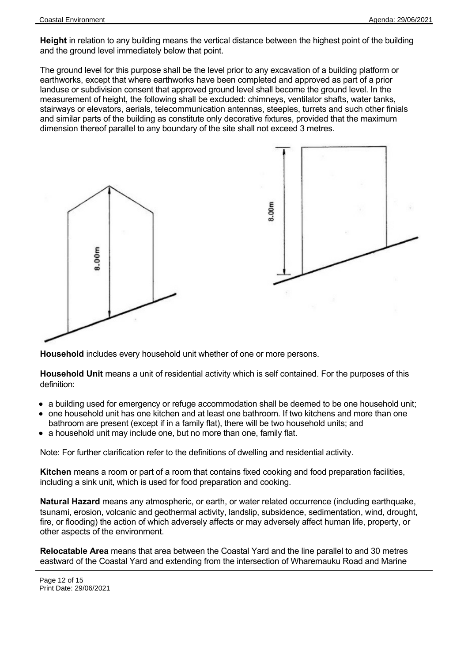**Height** in relation to any building means the vertical distance between the highest point of the building and the ground level immediately below that point.

The ground level for this purpose shall be the level prior to any excavation of a building platform or earthworks, except that where earthworks have been completed and approved as part of a prior landuse or subdivision consent that approved ground level shall become the ground level. In the measurement of height, the following shall be excluded: chimneys, ventilator shafts, water tanks, stairways or elevators, aerials, telecommunication antennas, steeples, turrets and such other finials and similar parts of the building as constitute only decorative fixtures, provided that the maximum dimension thereof parallel to any boundary of the site shall not exceed 3 metres.



**Household** includes every household unit whether of one or more persons.

**Household Unit** means a unit of residential activity which is self contained. For the purposes of this definition:

- a building used for emergency or refuge accommodation shall be deemed to be one household unit;
- one household unit has one kitchen and at least one bathroom. If two kitchens and more than one bathroom are present (except if in a family flat), there will be two household units; and
- a household unit may include one, but no more than one, family flat.

Note: For further clarification refer to the definitions of dwelling and residential activity.

**Kitchen** means a room or part of a room that contains fixed cooking and food preparation facilities, including a sink unit, which is used for food preparation and cooking.

**Natural Hazard** means any atmospheric, or earth, or water related occurrence (including earthquake, tsunami, erosion, volcanic and geothermal activity, landslip, subsidence, sedimentation, wind, drought, fire, or flooding) the action of which adversely affects or may adversely affect human life, property, or other aspects of the environment.

**Relocatable Area** means that area between the Coastal Yard and the line parallel to and 30 metres eastward of the Coastal Yard and extending from the intersection of Wharemauku Road and Marine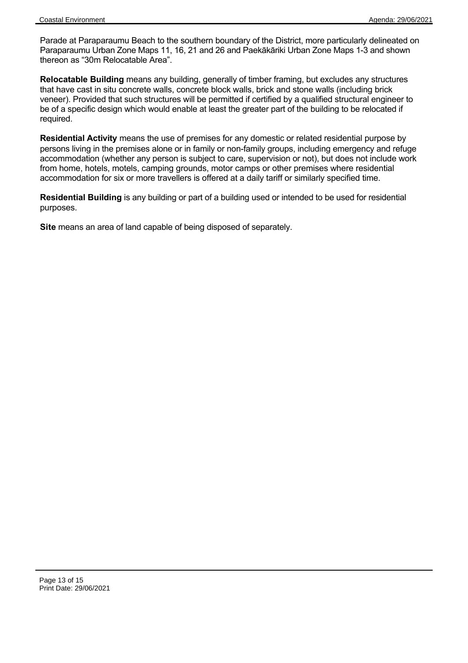Parade at Paraparaumu Beach to the southern boundary of the District, more particularly delineated on Paraparaumu Urban Zone Maps 11, 16, 21 and 26 and Paekākāriki Urban Zone Maps 1-3 and shown thereon as "30m Relocatable Area".

**Relocatable Building** means any building, generally of timber framing, but excludes any structures that have cast in situ concrete walls, concrete block walls, brick and stone walls (including brick veneer). Provided that such structures will be permitted if certified by a qualified structural engineer to be of a specific design which would enable at least the greater part of the building to be relocated if required.

**Residential Activity** means the use of premises for any domestic or related residential purpose by persons living in the premises alone or in family or non-family groups, including emergency and refuge accommodation (whether any person is subject to care, supervision or not), but does not include work from home, hotels, motels, camping grounds, motor camps or other premises where residential accommodation for six or more travellers is offered at a daily tariff or similarly specified time.

**Residential Building** is any building or part of a building used or intended to be used for residential purposes.

**Site** means an area of land capable of being disposed of separately.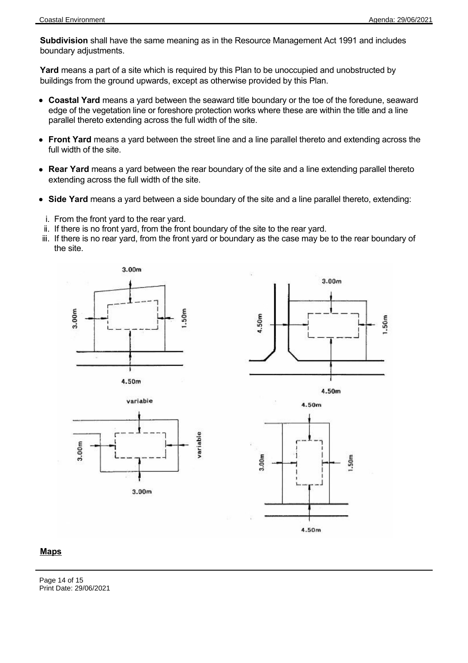**Subdivision** shall have the same meaning as in the Resource Management Act 1991 and includes boundary adjustments.

**Yard** means a part of a site which is required by this Plan to be unoccupied and unobstructed by buildings from the ground upwards, except as otherwise provided by this Plan.

- **Coastal Yard** means a yard between the seaward title boundary or the toe of the foredune, seaward edge of the vegetation line or foreshore protection works where these are within the title and a line parallel thereto extending across the full width of the site.
- **Front Yard** means a yard between the street line and a line parallel thereto and extending across the full width of the site.
- **Rear Yard** means a yard between the rear boundary of the site and a line extending parallel thereto extending across the full width of the site.
- **Side Yard** means a yard between a side boundary of the site and a line parallel thereto, extending:
- i. From the front yard to the rear yard.
- ii. If there is no front yard, from the front boundary of the site to the rear yard.
- iii. If there is no rear yard, from the front yard or boundary as the case may be to the rear boundary of the site.









# **Maps**

Page 14 of 15 Print Date: 29/06/2021